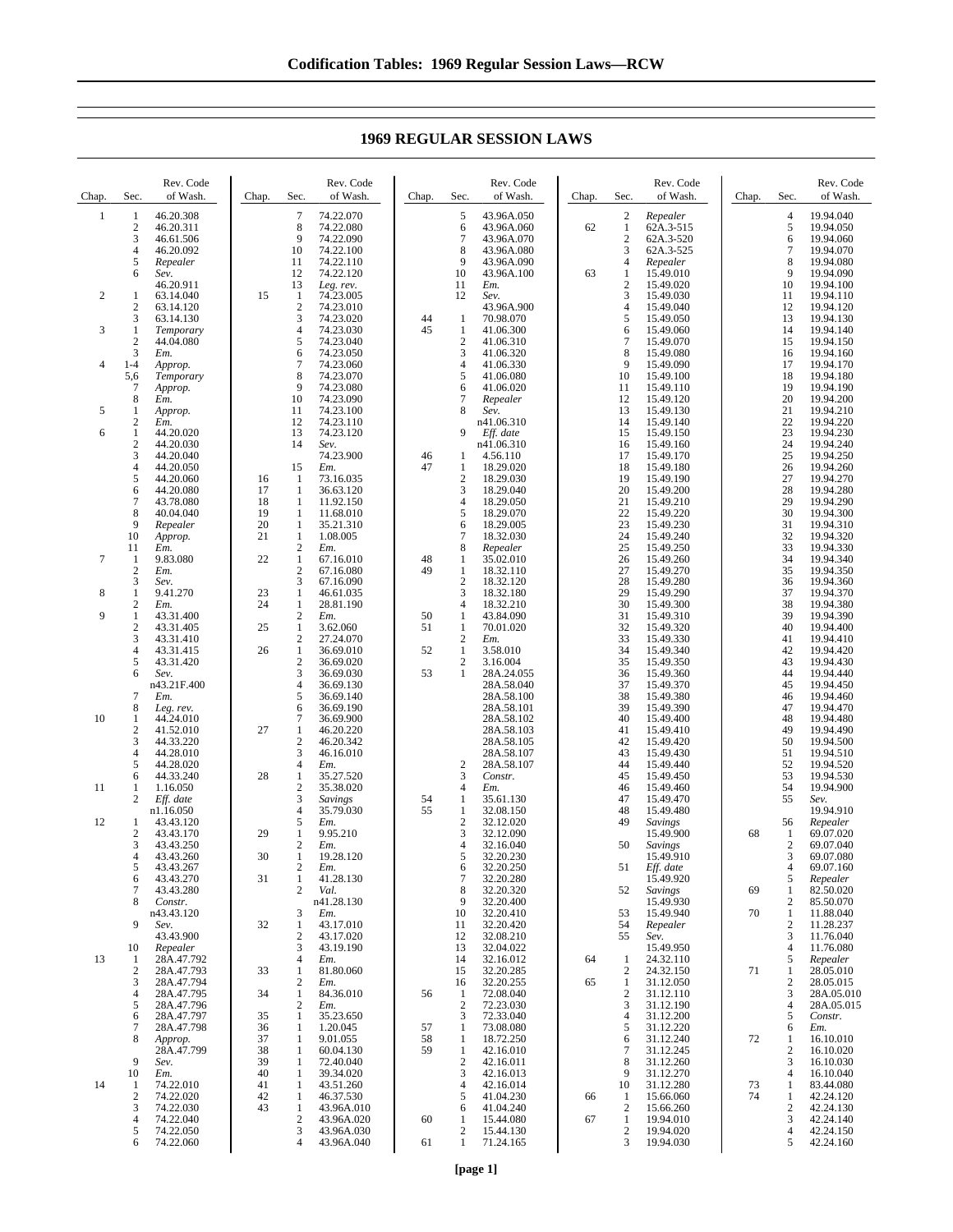Chap. Sec. Rev. Code of Wash.  $\frac{1}{2}$   $\frac{46.20.308}{46.20.311}$ 2 46.20.311<br>3 46.61.506 3 46.61.506 4 46.20.092<br>5 *Repealer* 5 *Repealer* 6 *Sev.* 46.20.911 2  $1 \t 63.14.040$ <br>2  $63.14.120$ 63.14.120 3 63.14.130 3 1 *Temporary*  $\frac{2}{3}$  44.04.080  $\frac{3}{1-4}$  *Em.* 4 1-4 *Approp.* 5,6 *Temporary* 7 *Approp.* 8 *Em.* 5 1 *Approp.* 2 *Em.* 6 1 44.20.020  $\frac{2}{3}$  44.20.030 3 44.20.040 4 44.20.050<br>5 44.20.060 5 44.20.060 6 44.20.080<br>7 43.78.080 7 43.78.080<br>8 40.04.040  $8 \t 40.04.040$ <br>9 Renealer 9 *Repealer*  $A$ *pprop.* 11 *Em.*  $\frac{7}{2}$  1 9.83.080 2 *Em.* 3 *Sev.* 8 1 9.41.270  $\frac{2}{1}$  *Em.* 9  $\overline{1}$  43.31.400<br>2 43.31.405 2 43.31.405<br>3 43.31.410 3 43.31.410 4 43.31.415 5 43.31.420<br>6 *Sev.* 6 *Sev.* n43.21F.400 7 *Em.* 8 *Leg. rev.* 10 1 44.24.010  $\begin{array}{cc}\n 2 & 41.52.010 \\
3 & 44.33.220\n \end{array}$ 3 44.33.220 4 44.28.010 5 44.28.020<br>6 44.33.240<br>1 1.16.050 6 44.33.240  $\frac{1}{2}$   $\frac{1.16.050}{E}$ 2 *Eff. date* n1<sup>16</sup>.050 12 1 43.43.120<br>2 43.43.170  $\frac{2}{3}$  43.43.170 3 43.43.250<br>4 43.43.260 4 43.43.260<br>5 43.43.267 5 43.43.267 6 43.43.270 7 43.43.280 8 *Constr.* n43.43.120 9 *Sev.* 43.43.900 10 *Repealer* 13 1 28A.47.792 2 28A.47.793<br>3 28A.47.794 3 28A.47.794 4 28A.47.795 5 28A.47.796 28A 47.797 7 28A.47.798<br>8 Approp. 8 *Approp.* 28A.47.799 9 *Sev.* 10 *Em.* 14 1 74.22.010<br>2 74.22.020  $\frac{2}{3}$  74.22.020 3 74.22.030<br>4 74.22.040 4 74.22.040 5 74.22.050 Chap. Sec Rev. Code of Wash. 7 74.22.070<br>8 74.22.080  $\begin{array}{r} 8 \\ 74.22.080 \\ 9 \\ 74.22.090 \end{array}$ 9 74.22.090<br>10 74.22.100 10 74.22.100<br>11 74.22.110 11 74.22.110 12 74.22.120<br>13 Leg. rev. 13 *Leg. rev.* 15 1 74.23.005 2 74.23.010<br>3 74.23.020<br>4 74.23.030 3 74.23.020 4 74.23.030<br>5 74.23.040  $5$  74.23.040<br>6 74.23.050 6 74.23.050<br>7 74.23.060 7 74.23.060<br>8 74.23.070<br>9 74.23.080 8 74.23.070 9 74.23.080<br>10 74.23.090 10 74.23.090<br>11 74.23.100 11 74.23.100<br>12 74.23.110 12 74.23.110<br>13 74.23.120 13 74.23.120<br>14 *Sev.* 14 *Sev.* 74.23.900 15 *Em.* 16 1 73.16.035 17 1 36.63.120<br>18 1 11.92.150 18 1 11.92.150<br>19 1 11.68.010 19 1 11.68.010<br>20 1 35.21.310 20 1 35.21.310<br>21 1 1.08.005 21 1 1.08.005 2 *Em.* 22 1 67.16.010<br>2 67.16.080  $\begin{array}{r} 2 \ 67.16.080 \\ 3 \ 67.16.090 \end{array}$ 67.16.090 23 1 46.61.035<br>24 1 28.81.190 24 1 28.81.190 2 *Em.* 25  $\frac{1}{2}$   $\frac{2m}{3.62.060}$ <br>2 27.24.070 2 27.24.070<br>1 36.69.010 26 1 36.69.010 2 36.69.020<br>3 36.69.030 3 36.69.030<br>4 36.69.130 36.69.130 5 36.69.140<br>6 36.69.190 6 36.69.190 7 36.69.900<br>1 46.20.220 27 1 46.20.220<br>2 46.20.342  $\frac{2}{3}$  46.20.342 3 46.16.010 4 *Em.* 28 1 35.27.520<br>2 35.38.020 2 35.38.020 3 *Savings* 4 35.79.030 5 *Em.* 29  $1 \t 9.95.210$ <br> $2 \t Fm$  $\frac{2}{1}$  *Em.* 30 1 19.28.120 2 *Em.* 31 1 41.28.130<br>2 Val. 2 *Val.* n41.28.130 3 *Em.*  $\frac{32}{2}$  1  $\frac{43.17.010}{43.17.020}$ 2 43.17.020 3  $43.19.190$ <br>4  $F_m$ 4 *Em.* 33 1 81.80.060<br>2  $Em$ . 2 *Em.* 34 1 84.36.010 2 *Em.*<br>35 1 35.23.650 36 1 1.20.045<br>37 1 9.01.055 37 1 9.01.055 38 1 60.04.130<br>39 1 72.40.040<br>40 1 39.34.020 39 1 72.40.040 40 1 39.34.020 41 1 43.51.260<br>42 1 46.37.530 42 1 46.37.530<br>43 1 43.96A.01 1 43.96A.010<br>2 43.96A.020<br>3 43.96A.030 2 43.96A.020 3 43.96A.030<br>4 43.96A.040 Chap. Sec. Rev. Code of Wash. 5 43.96A.050<br>6 43.96A.060 43.96A.060 7 43.96A.070 8 43.96A.080 9 43.96A.090<br>10 43.96A.100  $10$  43.96A.100<br>11  $Em.$ 11 *Em.* 12 *Sev.* 43.96A.900 44 1 70.98.070<br>45 1 41.06.300 1 41.06.300<br>2 41.06.310  $\frac{2}{3}$  41.06.310 3 41.06.320  $\begin{array}{r} 4 & 41.06.330 \\ 5 & 41.06.080 \end{array}$ 5 41.06.080<br>6 41.06.020 6 41.06.020 7 *Repealer* 8 *Sev.* n41.06.310 9 *Eff. date* n41.06.310 46 1 4.56.110<br>47 1 18.29.020  $\begin{array}{r} 1 & 18.29.020 \\ 2 & 18.29.030 \end{array}$ 2 18.29.030 3 18.29.040 4 18.29.050<br>5 18.29.070 18.29.070 6 18.29.005<br>7 18.32.030 7 18.32.030 8 *Repealer* 48 1 35.02.010 49 1 18.32.110<br>2 18.32.120 2 18.32.120<br>3 18.32.180 3 18.32.180 4 18.32.210<br>1 43.84.090 50 1 43.84.090<br>51 1 70.01.020  $\frac{1}{2}$  70.01.020 2 *Em.* 52 1 3.58.010 2 3.16.004<br>1 28A.24.0 53 1 28A.24.055 28A.58.040 28A.58.100 28A.58.101 28A.58.102 28A.58.103 28A.58.105 28A.58.107 2 28A.58.107<br>3 Constr. 3 *Constr.* 4 *Em.* 54 1 35.61.130 1 32.08.150<br>2 32.12.020 2 32.12.020<br>3 32.12.090  $32.12.090$ <br> $432.16040$  $\frac{4}{5}$   $\frac{32.16.040}{32.20230}$ 32.20.230  $\frac{6}{7}$  32.20.250 7 32.20.280<br>8 32.20.320<br>9 32.20.400 8 32.20.320  $\frac{9}{10}$   $\frac{32.20.400}{32.20.410}$ 32.20.410 11 32.20.420<br>12 32.08.210 12 32.08.210 13 32.04.022 14 32.16.012<br>15 32.20.285 15 32.20.285<br>16 32.20.255 32.20.255 56 1 72.08.040  $\frac{2}{3}$  72.23.030 3 72.33.040<br>1 73.08.080 57 1 73.08.080<br>58 1 18.72.250 58 1 18.72.250  $\begin{array}{r} 1 & 42.16.010 \\ 2 & 42.16.011 \\ 3 & 42.16.013 \end{array}$ 2 42.16.011 3 42.16.013<br>4 42.16.014  $42.16.014$ <br>5  $41.04.230$ 41.04.230 6 41.04.240 60 1 15.44.080 2 15.44.130 Chap. Sec. Rev. Code of Wash. 2 *Repealer* 62  $1 \t 62A.3-515$ <br>2  $62A.3-520$ 2 62A.3-520<br>3 62A.3-525 3 62A.3-525 4 *Repealer* 63 1 15.49.010 2 15.49.020 3 15.49.030 4 15.49.040<br>5 15.49.050 5 15.49.050<br>6 15.49.060<br>7 15.49.070 15.49.060 7 15.49.070<br>8 15.49.080 8 15.49.080<br>9 15.49.090 9 15.49.090<br>10 15.49.100 15.49.100 11 15.49.110<br>12 15.49.120 12 15.49.120 13 15.49.130<br>14 15.49.140 14 15.49.140<br>15 15.49.150<br>16 15.49.160 15 15.49.150 16 15.49.160 17 15.49.170 18 15.49.180<br>19 15.49.190 19 15.49.190 20 15.49.200<br>21 15.49.210 21 15.49.210<br>22 15.49.220 22 15.49.220 23 15.49.230<br>24 15.49.240 24 15.49.240<br>25 15.49.250 25 15.49.250<br>26 15.49.260 26 15.49.260<br>27 15.49.270 27 15.49.270 28 15.49.280<br>29 15.49.290 29 15.49.290<br>30 15.49.300 30 15.49.300<br>31 15.49.310 31 15.49.310<br>32 15.49.320 32 15.49.320<br>33 15.49.330 33 15.49.330<br>34 15.49.340 34 15.49.340 35 15.49.350 36 15.49.360<br>37 15.49.370 15.49.370 38 15.49.380<br>39 15.49.390 39 15.49.390 40 15.49.400 41 15.49.410 15.49.420 43 15.49.430 44 15.49.440<br>45 15.49.450 45 15.49.450<br>46 15.49.460 46 15.49.460 47 15.49.470<br>48 15.49.480 48 15.49.480<br>49 Savings 49 *Savings* 15.49.900 50 *Savings* 15.49.910 51 *Eff. date* 15.49.920 52 *Savings* 15.49.930 53 15.49.940 54 *Repealer* 55 *Sev.* 15.49.950 64 1 24.32.110<br>2 24.32.150  $\begin{bmatrix} 2 & 24.32.150 \\ 1 & 31.12.050 \end{bmatrix}$ 65 1 31.12.050 2 31.12.110<br>3 31.12.190<br>4 31.12.200 31.12.190 4 31.12.200<br>5 31.12.220  $\begin{array}{r} 5 & 31.12.220 \\ 6 & 31.12.240 \end{array}$ 6 31.12.240 7 31.12.245<br>8 31.12.260<br>9 31.12.270 8 31.12.260 9 31.12.270<br>10 31.12.280 31.12.280 66 1 15.66.060 2 15.66.260 67 1 19.94.010 2 19.94.020 Chap. Sec. Rev. Code of Wash. 4 19.94.040<br>5 19.94.050 5 19.94.050<br>6 19.94.060 6 19.94.060<br>7 19.94.070 7 19.94.070<br>8 19.94.080<br>9 19.94.090 19.94.080 9 19.94.090<br>10 19.94.100 10 19.94.100 11 19.94.110<br>12 19.94.120 12 19.94.120<br>13 19.94.130 13 19.94.130<br>14 19.94.140 14 19.94.140<br>15 19.94.150 15 19.94.150<br>16 19.94.160 16 19.94.160<br>17 19.94.170 17 19.94.170<br>18 19.94.180 18 19.94.180<br>19 19.94.190 19 19.94.190<br>20 19.94.200 20 19.94.200<br>21 19.94.210 21 19.94.210 22 19.94.220<br>23 19.94.230<br>24 19.94.240 19.94.230 24 19.94.240 25 19.94.250<br>26 19.94.260 26 19.94.260 27 19.94.270<br>28 19.94.280 28 19.94.280<br>29 19.94.290 29 19.94.290<br>30 19.94.300 30 19.94.300<br>31 19.94.310 31 19.94.310 32 19.94.320<br>33 19.94.330<br>34 19.94.340 19.94.330 34 19.94.340<br>35 19.94.350 35 19.94.350 19.94.360 37 19.94.370<br>38 19.94.380 38 19.94.380 39 19.94.390<br>40 19.94.400 40 19.94.400 19.94.410 42 19.94.420<br>43 19.94.430 43 19.94.430 44 19.94.440<br>45 19.94.450 19.94.450 46 19.94.460<br>47 19.94.470 47 19.94.470 48 19.94.480<br>49 19.94.490 49 19.94.490<br>50 19.94.500 50 19.94.500<br>51 19.94.510 51 19.94.510 52 19.94.520<br>53 19.94.530<br>54 19.94.900 19.94.530 54 19.94.900<br>55 Sev. 55 *Sev.* 19.94.910 56 *Repealer* 68  $\frac{1}{2}$  69.07.020  $\frac{2}{3}$  69.07.040 69.07.080 4 69.07.160<br>5 *Repealer* 5 *Repealer* 69  $\frac{1}{2}$   $\frac{82.50.020}{85.50.070}$ 2 85.50.070 70 1 11.88.040<br>2 11.28.237 2 11.28.237<br>3 11.76.040 3 11.76.040 4 11.76.080<br>5 *Repealer* 5 *Repealer* 71 1 28.05.010 2 28.05.015<br>3 28A.05.01 3 28A.05.010<br>4 28A.05.015 4 28A.05.015 5 *Constr.* 6 *Em.*  $\frac{1}{2}$  16.10.010<br>16.10.020  $\begin{array}{r} 2 & 16.10.020 \\ 3 & 16.10.030 \\ 4 & 16.10.040 \end{array}$ 3 16.10.030 4 16.10.040<br>1 83.44.080 73 1 83.44.080  $\begin{array}{r} 1 & 42.24.120 \\ 2 & 42.24.130 \end{array}$ 2 42.24.130<br>3 42.24.140<br>4 42.24.150 3 42.24.140 4 42.24.150

## **1969 REGULAR SESSION LAWS**

 $\overline{3}$  19.94.030

5 42.24.160

4 43.96A.040

6 74.22.060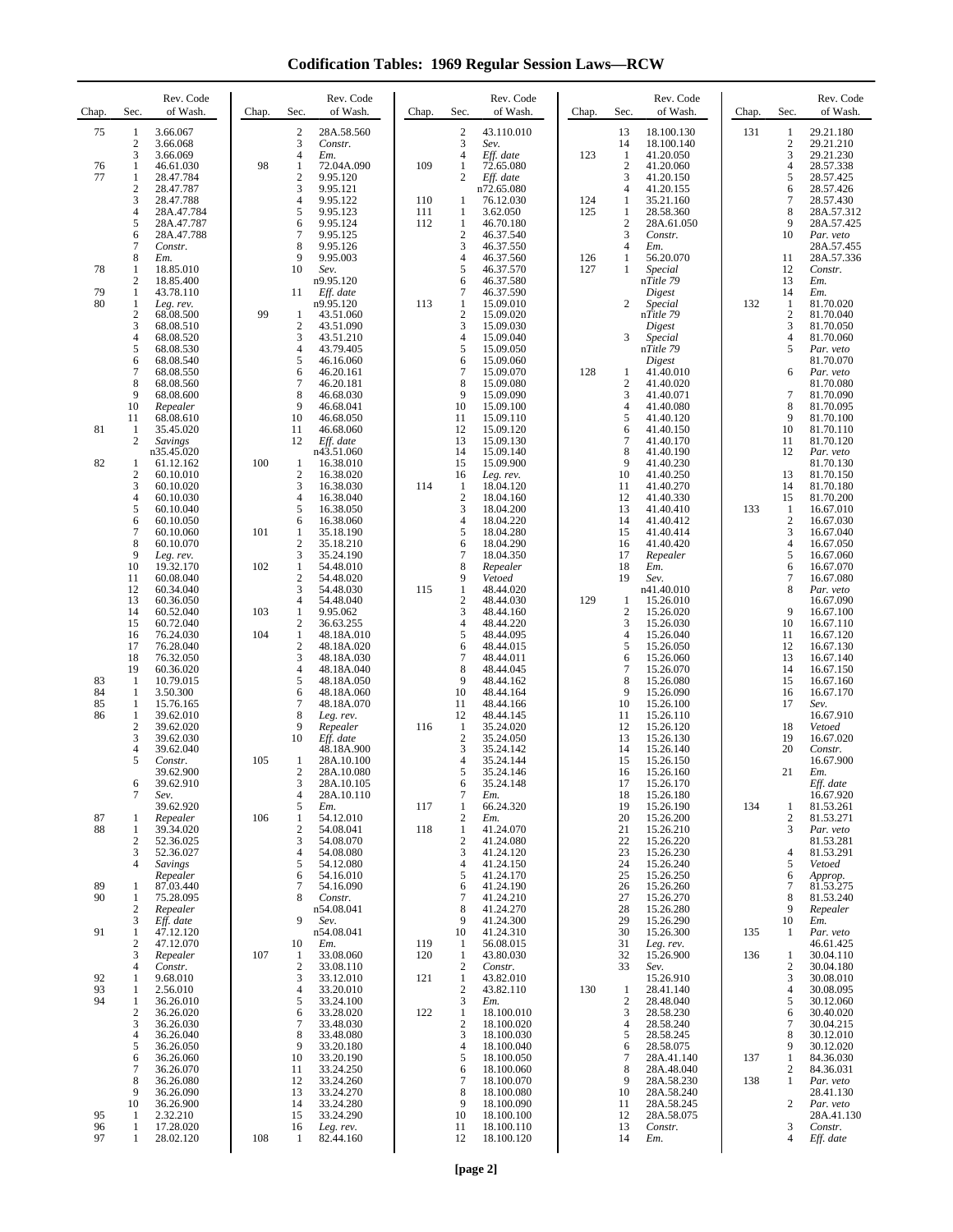**Codification Tables: 1969 Regular Session Laws—RCW**

| Chap.    | Sec.                         | Rev. Code<br>of Wash.       | Chap. | Sec.                           | Rev. Code<br>of Wash.    | Chap.      | Sec.                           | Rev. Code<br>of Wash.    | Chap. | Sec.                           | Rev. Code<br>of Wash.    | Chap. | Sec.                  | Rev. Code<br>of Wash.    |
|----------|------------------------------|-----------------------------|-------|--------------------------------|--------------------------|------------|--------------------------------|--------------------------|-------|--------------------------------|--------------------------|-------|-----------------------|--------------------------|
| 75       | $\mathbf{1}$<br>2            | 3.66.067<br>3.66.068        |       | 2<br>3                         | 28A.58.560<br>Constr.    |            | $\sqrt{2}$<br>3                | 43.110.010<br>Sev.       |       | 13<br>14                       | 18.100.130<br>18.100.140 | 131   | 1<br>2                | 29.21.180<br>29.21.210   |
|          | 3                            | 3.66.069                    |       | $\overline{4}$                 | Em.                      |            | $\overline{4}$                 | Eff. date                | 123   | $\mathbf{1}$                   | 41.20.050                |       | 3                     | 29.21.230                |
| 76<br>77 | 1<br>1                       | 46.61.030<br>28.47.784      | 98    | 1<br>$\sqrt{2}$                | 72.04A.090<br>9.95.120   | 109        | $\mathbf{1}$<br>2              | 72.65.080<br>Eff. date   |       | $\overline{2}$<br>3            | 41.20.060<br>41.20.150   |       | $\overline{4}$<br>5   | 28.57.338<br>28.57.425   |
|          | $\overline{c}$<br>3          | 28.47.787<br>28.47.788      |       | 3<br>4                         | 9.95.121<br>9.95.122     | 110        | 1                              | n72.65.080<br>76.12.030  | 124   | 4<br>1                         | 41.20.155<br>35.21.160   |       | 6<br>7                | 28.57.426<br>28.57.430   |
|          | 4<br>5                       | 28A.47.784<br>28A.47.787    |       | 5<br>6                         | 9.95.123<br>9.95.124     | 111<br>112 | 1<br>1                         | 3.62.050<br>46.70.180    | 125   | 1<br>$\overline{\mathbf{c}}$   | 28.58.360<br>28A.61.050  |       | 8<br>9                | 28A.57.312<br>28A.57.425 |
|          | 6                            | 28A.47.788                  |       | 7                              | 9.95.125                 |            | $\sqrt{2}$                     | 46.37.540                |       | 3                              | Constr.                  |       | 10                    | Par. veto                |
|          | 7<br>8                       | Constr.<br>Em.              |       | 8<br>9                         | 9.95.126<br>9.95.003     |            | 3<br>$\overline{4}$            | 46.37.550<br>46.37.560   | 126   | 4<br>1                         | Em.<br>56.20.070         |       | 11                    | 28A.57.455<br>28A.57.336 |
| 78       | 1<br>$\mathbf{2}$            | 18.85.010<br>18.85.400      |       | 10                             | Sev.<br>n9.95.120        |            | 5<br>6                         | 46.37.570<br>46.37.580   | 127   | 1                              | Special<br>nTitle 79     |       | 12<br>13              | Constr.<br>Em.           |
| 79<br>80 | -1<br>$\mathbf{1}$           | 43.78.110<br>Leg. rev.      |       | 11                             | Eff. date<br>n9.95.120   | 113        | $\overline{7}$<br>$\mathbf{1}$ | 46.37.590<br>15.09.010   |       | $\overline{c}$                 | Digest<br>Special        | 132   | 14<br>-1              | Em.<br>81.70.020         |
|          | $\mathbf{2}$                 | 68.08.500                   | 99    | 1                              | 43.51.060                |            | $\overline{c}$                 | 15.09.020                |       |                                | nTitle 79                |       | $\overline{c}$        | 81.70.040                |
|          | 3<br>4                       | 68.08.510<br>68.08.520      |       | $\overline{c}$<br>3            | 43.51.090<br>43.51.210   |            | 3<br>$\overline{4}$            | 15.09.030<br>15.09.040   |       | 3                              | Digest<br>Special        |       | 3<br>$\overline{4}$   | 81.70.050<br>81.70.060   |
|          | 5<br>6                       | 68.08.530<br>68.08.540      |       | 4<br>5                         | 43.79.405<br>46.16.060   |            | 5<br>6                         | 15.09.050<br>15.09.060   |       |                                | nTitle 79<br>Digest      |       | 5                     | Par. veto<br>81.70.070   |
|          | 7<br>8                       | 68.08.550<br>68.08.560      |       | 6<br>7                         | 46.20.161<br>46.20.181   |            | $\overline{7}$<br>8            | 15.09.070<br>15.09.080   | 128   | $\mathbf{1}$<br>$\overline{c}$ | 41.40.010<br>41.40.020   |       | 6                     | Par. veto<br>81.70.080   |
|          | 9<br>10                      | 68.08.600<br>Repealer       |       | 8<br>9                         | 46.68.030<br>46.68.041   |            | 9<br>10                        | 15.09.090<br>15.09.100   |       | 3<br>4                         | 41.40.071<br>41.40.080   |       | 7<br>8                | 81.70.090<br>81.70.095   |
|          | 11                           | 68.08.610                   |       | 10                             | 46.68.050                |            | 11                             | 15.09.110                |       | 5                              | 41.40.120                |       | 9                     | 81.70.100                |
| 81       | -1<br>$\overline{c}$         | 35.45.020<br><b>Savings</b> |       | 11<br>12                       | 46.68.060<br>Eff. date   |            | 12<br>13                       | 15.09.120<br>15.09.130   |       | 6<br>7                         | 41.40.150<br>41.40.170   |       | 10<br>11              | 81.70.110<br>81.70.120   |
| 82       | $\mathbf{1}$                 | n35.45.020<br>61.12.162     | 100   | 1                              | n43.51.060<br>16.38.010  |            | 14<br>15                       | 15.09.140<br>15.09.900   |       | 8<br>9                         | 41.40.190<br>41.40.230   |       | 12                    | Par. veto<br>81.70.130   |
|          | $\boldsymbol{2}$<br>3        | 60.10.010<br>60.10.020      |       | $\overline{\mathbf{c}}$<br>3   | 16.38.020<br>16.38.030   | 114        | 16<br>1                        | Leg. rev.<br>18.04.120   |       | 10<br>11                       | 41.40.250<br>41.40.270   |       | 13<br>14              | 81.70.150<br>81.70.180   |
|          | 4<br>5                       | 60.10.030                   |       | 4<br>5                         | 16.38.040<br>16.38.050   |            | $\sqrt{2}$<br>3                | 18.04.160<br>18.04.200   |       | 12<br>13                       | 41.40.330<br>41.40.410   | 133   | 15<br>1               | 81.70.200<br>16.67.010   |
|          | 6                            | 60.10.040<br>60.10.050      |       | 6                              | 16.38.060                |            | $\overline{4}$                 | 18.04.220                |       | 14                             | 41.40.412                |       | $\overline{2}$        | 16.67.030                |
|          | 7<br>8                       | 60.10.060<br>60.10.070      | 101   | 1<br>2                         | 35.18.190<br>35.18.210   |            | 5<br>6                         | 18.04.280<br>18.04.290   |       | 15<br>16                       | 41.40.414<br>41.40.420   |       | 3<br>4                | 16.67.040<br>16.67.050   |
|          | 9<br>10                      | Leg. rev.<br>19.32.170      | 102   | 3<br>$\mathbf{1}$              | 35.24.190<br>54.48.010   |            | $\overline{7}$<br>8            | 18.04.350<br>Repealer    |       | 17<br>18                       | Repealer<br>Em.          |       | 5<br>6                | 16.67.060<br>16.67.070   |
|          | 11<br>12                     | 60.08.040<br>60.34.040      |       | $\overline{c}$<br>3            | 54.48.020<br>54.48.030   | 115        | 9<br>$\mathbf{1}$              | Vetoed<br>48.44.020      |       | 19                             | Sev.<br>n41.40.010       |       | 7<br>8                | 16.67.080<br>Par. veto   |
|          | 13                           | 60.36.050                   |       | 4                              | 54.48.040                |            | $\sqrt{2}$                     | 48.44.030                | 129   | $\mathbf{1}$                   | 15.26.010                |       |                       | 16.67.090                |
|          | 14<br>15                     | 60.52.040<br>60.72.040      | 103   | 1<br>$\overline{c}$            | 9.95.062<br>36.63.255    |            | 3<br>$\overline{4}$            | 48.44.160<br>48.44.220   |       | $\overline{2}$<br>3            | 15.26.020<br>15.26.030   |       | 9<br>10               | 16.67.100<br>16.67.110   |
|          | 16<br>17                     | 76.24.030<br>76.28.040      | 104   | $\mathbf{1}$<br>$\overline{c}$ | 48.18A.010<br>48.18A.020 |            | 5<br>6                         | 48.44.095<br>48.44.015   |       | 4<br>5                         | 15.26.040<br>15.26.050   |       | 11<br>12              | 16.67.120<br>16.67.130   |
|          | 18<br>19                     | 76.32.050<br>60.36.020      |       | 3<br>4                         | 48.18A.030<br>48.18A.040 |            | $\overline{7}$<br>8            | 48.44.011<br>48.44.045   |       | 6<br>$\tau$                    | 15.26.060<br>15.26.070   |       | 13<br>14              | 16.67.140<br>16.67.150   |
| 83<br>84 | $\mathbf{1}$<br>1            | 10.79.015                   |       | 5<br>6                         | 48.18A.050               |            | 9<br>10                        | 48.44.162<br>48.44.164   |       | 8<br>9                         | 15.26.080                |       | 15<br>16              | 16.67.160<br>16.67.170   |
| 85       | -1                           | 3.50.300<br>15.76.165       |       | 7                              | 48.18A.060<br>48.18A.070 |            | 11                             | 48.44.166                |       | 10                             | 15.26.090<br>15.26.100   |       | 17                    | Sev.                     |
| 86       | $\mathbf{1}$<br>$\mathbf{2}$ | 39.62.010<br>39.62.020      |       | 8<br>9                         | Leg. rev.<br>Repealer    | 116        | 12<br>1                        | 48.44.145<br>35.24.020   |       | 11<br>12                       | 15.26.110<br>15.26.120   |       | 18                    | 16.67.910<br>Vetoed      |
|          | 3<br>4                       | 39.62.030<br>39.62.040      |       | 10                             | Eff. date<br>48.18A.900  |            | $\overline{2}$<br>3            | 35.24.050<br>35.24.142   |       | 13<br>14                       | 15.26.130<br>15.26.140   |       | 19<br>20              | 16.67.020<br>Constr.     |
|          | 5                            | Constr.<br>39.62.900        | 105   | 1<br>$\overline{c}$            | 28A.10.100<br>28A.10.080 |            | $\overline{4}$<br>5            | 35.24.144<br>35.24.146   |       | 15<br>16                       | 15.26.150<br>15.26.160   |       | 21                    | 16.67.900<br>Em.         |
|          | 6<br>7                       | 39.62.910<br>Sev.           |       | 3<br>4                         | 28A.10.105<br>28A.10.110 |            | 6<br>7                         | 35.24.148                |       | 17<br>18                       | 15.26.170                |       |                       | Eff. date<br>16.67.920   |
|          |                              | 39.62.920                   |       | 5                              | Em.                      | 117        | $\mathbf{1}$                   | Em.<br>66.24.320         |       | 19                             | 15.26.180<br>15.26.190   | 134   | 1                     | 81.53.261                |
| 87<br>88 | 1<br>1                       | Repealer<br>39.34.020       | 106   | 1<br>2                         | 54.12.010<br>54.08.041   | 118        | $\sqrt{2}$<br>$\mathbf{1}$     | Em.<br>41.24.070         |       | 20<br>21                       | 15.26.200<br>15.26.210   |       | 2<br>3                | 81.53.271<br>Par. veto   |
|          | 2<br>3                       | 52.36.025<br>52.36.027      |       | 3<br>4                         | 54.08.070<br>54.08.080   |            | $\sqrt{2}$<br>3                | 41.24.080<br>41.24.120   |       | 22<br>23                       | 15.26.220<br>15.26.230   |       | 4                     | 81.53.281<br>81.53.291   |
|          | 4                            | <b>Savings</b><br>Repealer  |       | 5<br>6                         | 54.12.080<br>54.16.010   |            | $\overline{4}$<br>5            | 41.24.150<br>41.24.170   |       | 24<br>25                       | 15.26.240<br>15.26.250   |       | 5<br>6                | Vetoed<br>Approp.        |
| 89<br>90 | 1<br>1                       | 87.03.440<br>75.28.095      |       | 7<br>8                         | 54.16.090<br>Constr.     |            | 6<br>$\overline{7}$            | 41.24.190<br>41.24.210   |       | 26<br>27                       | 15.26.260<br>15.26.270   |       | 7<br>8                | 81.53.275<br>81.53.240   |
|          | 2                            | Repealer                    |       |                                | n54.08.041               |            | 8                              | 41.24.270                |       | 28                             | 15.26.280                |       | 9                     | Repealer                 |
| 91       | 3<br>1                       | Eff. date<br>47.12.120      |       | 9                              | Sev.<br>n54.08.041       |            | 9<br>10                        | 41.24.300<br>41.24.310   |       | 29<br>30                       | 15.26.290<br>15.26.300   | 135   | 10<br>1               | Em.<br>Par. veto         |
|          | 2<br>3                       | 47.12.070<br>Repealer       | 107   | 10<br>1                        | Em.<br>33.08.060         | 119<br>120 | 1<br>1                         | 56.08.015<br>43.80.030   |       | 31<br>32                       | Leg. rev.<br>15.26.900   | 136   | 1                     | 46.61.425<br>30.04.110   |
| 92       | 4<br>1                       | Constr.<br>9.68.010         |       | $\overline{\mathbf{c}}$<br>3   | 33.08.110<br>33.12.010   | 121        | $\sqrt{2}$<br>$\mathbf{1}$     | Constr.<br>43.82.010     |       | 33                             | Sev.<br>15.26.910        |       | $\boldsymbol{2}$<br>3 | 30.04.180<br>30.08.010   |
| 93<br>94 | 1                            | 2.56.010                    |       | 4                              | 33.20.010                |            | $\sqrt{2}$                     | 43.82.110                | 130   | $\mathbf{1}$                   | 28.41.140                |       | 4                     | 30.08.095                |
|          | 1<br>$\boldsymbol{2}$        | 36.26.010<br>36.26.020      |       | 5<br>6                         | 33.24.100<br>33.28.020   | 122        | $\mathfrak{Z}$<br>$\mathbf{1}$ | Em.<br>18.100.010        |       | $\overline{2}$<br>3            | 28.48.040<br>28.58.230   |       | 5<br>6                | 30.12.060<br>30.40.020   |
|          | 3<br>4                       | 36.26.030<br>36.26.040      |       | 7<br>8                         | 33.48.030<br>33.48.080   |            | $\sqrt{2}$<br>3                | 18.100.020<br>18.100.030 |       | 4<br>5                         | 28.58.240<br>28.58.245   |       | 7<br>8                | 30.04.215<br>30.12.010   |
|          | 5<br>6                       | 36.26.050<br>36.26.060      |       | 9<br>10                        | 33.20.180<br>33.20.190   |            | $\overline{4}$<br>5            | 18.100.040<br>18.100.050 |       | 6<br>7                         | 28.58.075<br>28A.41.140  | 137   | 9<br>1                | 30.12.020<br>84.36.030   |
|          | 7<br>8                       | 36.26.070<br>36.26.080      |       | 11<br>12                       | 33.24.250<br>33.24.260   |            | 6<br>$\overline{7}$            | 18.100.060<br>18.100.070 |       | 8<br>9                         | 28A.48.040<br>28A.58.230 | 138   | 2<br>1                | 84.36.031<br>Par. veto   |
|          | 9                            | 36.26.090                   |       | 13                             | 33.24.270                |            | 8<br>9                         | 18.100.080               |       | 10                             | 28A.58.240               |       | $\overline{c}$        | 28.41.130                |
| 95       | 10<br>-1                     | 36.26.900<br>2.32.210       |       | 14<br>15                       | 33.24.280<br>33.24.290   |            | 10                             | 18.100.090<br>18.100.100 |       | 11<br>12                       | 28A.58.245<br>28A.58.075 |       |                       | Par. veto<br>28A.41.130  |
| 96<br>97 | -1<br>1                      | 17.28.020<br>28.02.120      | 108   | 16<br>1                        | Leg. rev.<br>82.44.160   |            | 11<br>12                       | 18.100.110<br>18.100.120 |       | 13<br>14                       | Constr.<br>Em.           |       | 3<br>4                | Constr.<br>Eff. date     |
|          |                              |                             |       |                                |                          |            |                                |                          |       |                                |                          |       |                       |                          |